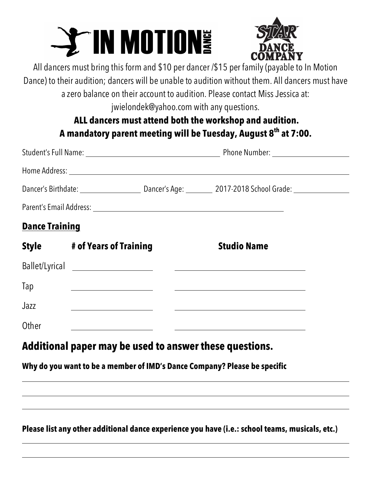# $\rightarrow$  IN MOTIONS



All dancers must bring this form and \$10 per dancer /\$15 per family (payable to In Motion Dance) to their audition; dancers will be unable to audition without them. All dancers must have

a zero balance on their account to audition. Please contact Miss Jessica at: jwielondek@yahoo.com with any questions.

## **ALL dancers must attend both the workshop and audition. A mandatory parent meeting will be Tuesday, August 8th at 7:00.**

| <b>Dance Training</b> |                                                                               |                                                       |  |
|-----------------------|-------------------------------------------------------------------------------|-------------------------------------------------------|--|
|                       | Style # of Years of Training                                                  | <b>Studio Name</b>                                    |  |
|                       |                                                                               |                                                       |  |
| Tap                   |                                                                               | <u> 1980 - Johann Stein, fransk politik (f. 1980)</u> |  |
| Jazz                  | <u> 1980 - Johann Barnett, fransk politik (</u>                               |                                                       |  |
| Other                 | <u> 1980 - John Stein, mars and de Branden en de Branden en 1990 - France</u> |                                                       |  |
|                       |                                                                               |                                                       |  |

# **Additional paper may be used to answer these questions.**

## **Why do you want to be a member of IMD's Dance Company? Please be specific**

### **Please list any other additional dance experience you have (i.e.: school teams, musicals, etc.)**